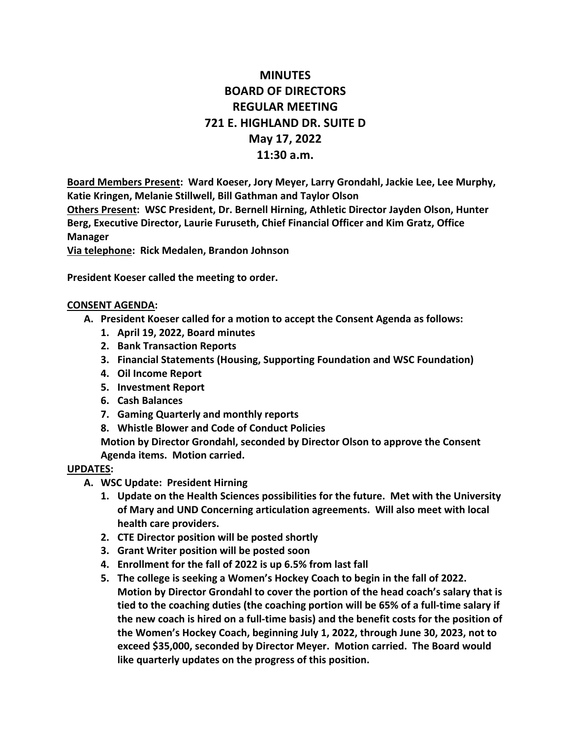# **MINUTES BOARD OF DIRECTORS REGULAR MEETING 721 E. HIGHLAND DR. SUITE D May 17, 2022 11:30 a.m.**

**Board Members Present: Ward Koeser, Jory Meyer, Larry Grondahl, Jackie Lee, Lee Murphy, Katie Kringen, Melanie Stillwell, Bill Gathman and Taylor Olson Others Present: WSC President, Dr. Bernell Hirning, Athletic Director Jayden Olson, Hunter** 

**Berg, Executive Director, Laurie Furuseth, Chief Financial Officer and Kim Gratz, Office Manager**

**Via telephone: Rick Medalen, Brandon Johnson**

**President Koeser called the meeting to order.**

#### **CONSENT AGENDA:**

- **A. President Koeser called for a motion to accept the Consent Agenda as follows:**
	- **1. April 19, 2022, Board minutes**
	- **2. Bank Transaction Reports**
	- **3. Financial Statements (Housing, Supporting Foundation and WSC Foundation)**
	- **4. Oil Income Report**
	- **5. Investment Report**
	- **6. Cash Balances**
	- **7. Gaming Quarterly and monthly reports**
	- **8. Whistle Blower and Code of Conduct Policies**

**Motion by Director Grondahl, seconded by Director Olson to approve the Consent Agenda items. Motion carried.**

#### **UPDATES:**

- **A. WSC Update: President Hirning**
	- **1. Update on the Health Sciences possibilities for the future. Met with the University of Mary and UND Concerning articulation agreements. Will also meet with local health care providers.**
	- **2. CTE Director position will be posted shortly**
	- **3. Grant Writer position will be posted soon**
	- **4. Enrollment for the fall of 2022 is up 6.5% from last fall**
	- **5. The college is seeking a Women's Hockey Coach to begin in the fall of 2022. Motion by Director Grondahl to cover the portion of the head coach's salary that is tied to the coaching duties (the coaching portion will be 65% of a full-time salary if the new coach is hired on a full-time basis) and the benefit costs for the position of the Women's Hockey Coach, beginning July 1, 2022, through June 30, 2023, not to exceed \$35,000, seconded by Director Meyer. Motion carried. The Board would like quarterly updates on the progress of this position.**